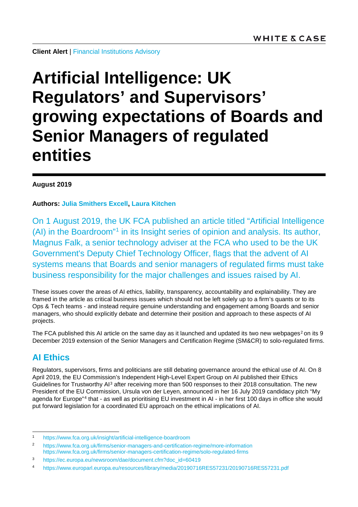**Client Alert** | [Financial Institutions Advisory](https://www.whitecase.com/law/practices/financial-institutions-advisory)

# **Artificial Intelligence: UK Regulators' and Supervisors' growing expectations of Boards and Senior Managers of regulated entities**

#### **August 2019**

**Authors: [Julia Smithers Excell,](https://www.whitecase.com/people/julia-smithers-excell) [Laura Kitchen](https://www.whitecase.com/people/laura-kitchen)**

On 1 August 2019, the UK FCA published an article titled "Artificial Intelligence (AI) in the Boardroom"[1](#page-0-0) in its Insight series of opinion and analysis. Its author, Magnus Falk, a senior technology adviser at the FCA who used to be the UK Government's Deputy Chief Technology Officer, flags that the advent of AI systems means that Boards and senior managers of regulated firms must take business responsibility for the major challenges and issues raised by AI.

These issues cover the areas of AI ethics, liability, transparency, accountability and explainability. They are framed in the article as critical business issues which should not be left solely up to a firm's quants or to its Ops & Tech teams - and instead require genuine understanding and engagement among Boards and senior managers, who should explicitly debate and determine their position and approach to these aspects of AI projects.

The FCA published this AI article on the same day as it launched and updated its two new webpages<sup>[2](#page-0-1)</sup> on its 9 December 2019 extension of the Senior Managers and Certification Regime (SM&CR) to solo-regulated firms.

#### **AI Ethics**

Regulators, supervisors, firms and politicians are still debating governance around the ethical use of AI. On 8 April 2019, the EU Commission's Independent High-Level Expert Group on AI published their Ethics Guidelines for Trustworthy AI<sup>[3](#page-0-2)</sup> after receiving more than 500 responses to their 2018 consultation. The new President of the EU Commission, Ursula von der Leyen, announced in her 16 July 2019 candidacy pitch "My agenda for Europe"[4](#page-0-3) that - as well as prioritising EU investment in AI - in her first 100 days in office she would put forward legislation for a coordinated EU approach on the ethical implications of AI.

<span id="page-0-0"></span> <sup>1</sup> <https://www.fca.org.uk/insight/artificial-intelligence-boardroom>

<span id="page-0-1"></span><sup>2</sup> <https://www.fca.org.uk/firms/senior-managers-and-certification-regime/more-information> <https://www.fca.org.uk/firms/senior-managers-certification-regime/solo-regulated-firms>

<span id="page-0-2"></span><sup>3</sup> [https://ec.europa.eu/newsroom/dae/document.cfm?doc\\_id=60419](https://ec.europa.eu/newsroom/dae/document.cfm?doc_id=60419)

<span id="page-0-3"></span><sup>4</sup> <https://www.europarl.europa.eu/resources/library/media/20190716RES57231/20190716RES57231.pdf>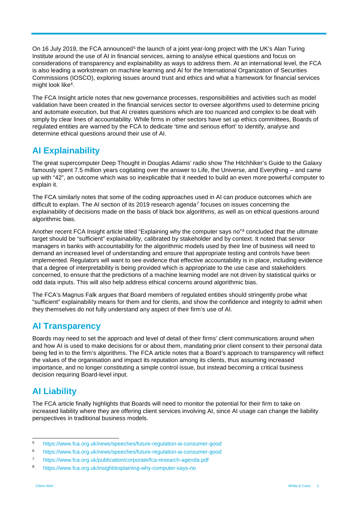On 16 July 2019, the FCA announced<sup>[5](#page-1-0)</sup> the launch of a joint year-long project with the UK's Alan Turing Institute around the use of AI in financial services, aiming to analyse ethical questions and focus on considerations of transparency and explainability as ways to address them. At an international level, the FCA is also leading a workstream on machine learning and AI for the International Organization of Securities Commissions (IOSCO), exploring issues around trust and ethics and what a framework for financial services might look like<sup>[6](#page-1-1)</sup>.

The FCA Insight article notes that new governance processes, responsibilities and activities such as model validation have been created in the financial services sector to oversee algorithms used to determine pricing and automate execution, but that AI creates questions which are too nuanced and complex to be dealt with simply by clear lines of accountability. While firms in other sectors have set up ethics committees, Boards of regulated entities are warned by the FCA to dedicate 'time and serious effort' to identify, analyse and determine ethical questions around their use of AI.

## **AI Explainability**

The great supercomputer Deep Thought in Douglas Adams' radio show The Hitchhiker's Guide to the Galaxy famously spent 7.5 million years cogitating over the answer to Life, the Universe, and Everything – and came up with "42", an outcome which was so inexplicable that it needed to build an even more powerful computer to explain it.

The FCA similarly notes that some of the coding approaches used in AI can produce outcomes which are difficult to explain. The AI section of its 2019 research agenda<sup>[7](#page-1-2)</sup> focuses on issues concerning the explainability of decisions made on the basis of black box algorithms, as well as on ethical questions around algorithmic bias.

Another recent FCA Insight article titled "Explaining why the computer says no"[8](#page-1-3) concluded that the ultimate target should be "sufficient" explainability, calibrated by stakeholder and by context. It noted that senior managers in banks with accountability for the algorithmic models used by their line of business will need to demand an increased level of understanding and ensure that appropriate testing and controls have been implemented. Regulators will want to see evidence that effective accountability is in place, including evidence that a degree of interpretability is being provided which is appropriate to the use case and stakeholders concerned, to ensure that the predictions of a machine learning model are not driven by statistical quirks or odd data inputs. This will also help address ethical concerns around algorithmic bias.

The FCA's Magnus Falk argues that Board members of regulated entities should stringently probe what "sufficient" explainability means for them and for clients, and show the confidence and integrity to admit when they themselves do not fully understand any aspect of their firm's use of AI.

## **AI Transparency**

Boards may need to set the approach and level of detail of their firms' client communications around when and how AI is used to make decisions for or about them, mandating prior client consent to their personal data being fed in to the firm's algorithms. The FCA article notes that a Board's approach to transparency will reflect the values of the organisation and impact its reputation among its clients, thus assuming increased importance, and no longer constituting a simple control issue, but instead becoming a critical business decision requiring Board-level input.

# **AI Liability**

The FCA article finally highlights that Boards will need to monitor the potential for their firm to take on increased liability where they are offering client services involving AI, since AI usage can change the liability perspectives in traditional business models.

<span id="page-1-0"></span> <sup>5</sup> <https://www.fca.org.uk/news/speeches/future-regulation-ai-consumer-good>

<span id="page-1-1"></span><sup>6</sup> <https://www.fca.org.uk/news/speeches/future-regulation-ai-consumer-good>

<span id="page-1-2"></span><sup>7</sup> <https://www.fca.org.uk/publication/corporate/fca-research-agenda.pdf>

<span id="page-1-3"></span><sup>8</sup> <https://www.fca.org.uk/insight/explaining-why-computer-says-no>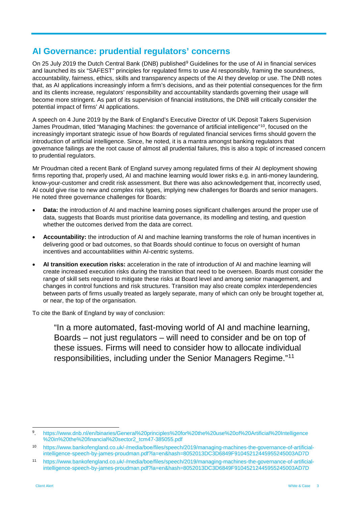#### **AI Governance: prudential regulators' concerns**

On 25 July 201[9](#page-2-0) the Dutch Central Bank (DNB) published<sup>9</sup> Guidelines for the use of AI in financial services and launched its six "SAFEST" principles for regulated firms to use AI responsibly, framing the soundness, accountability, fairness, ethics, skills and transparency aspects of the AI they develop or use. The DNB notes that, as AI applications increasingly inform a firm's decisions, and as their potential consequences for the firm and its clients increase, regulators' responsibility and accountability standards governing their usage will become more stringent. As part of its supervision of financial institutions, the DNB will critically consider the potential impact of firms' AI applications.

A speech on 4 June 2019 by the Bank of England's Executive Director of UK Deposit Takers Supervision James Proudman, titled "Managing Machines: the governance of artificial intelligence"[10,](#page-2-1) focused on the increasingly important strategic issue of how Boards of regulated financial services firms should govern the introduction of artificial intelligence. Since, he noted, it is a mantra amongst banking regulators that governance failings are the root cause of almost all prudential failures, this is also a topic of increased concern to prudential regulators.

Mr Proudman cited a recent Bank of England survey among regulated firms of their AI deployment showing firms reporting that, properly used, AI and machine learning would lower risks e.g. in anti-money laundering, know-your-customer and credit risk assessment. But there was also acknowledgement that, incorrectly used, AI could give rise to new and complex risk types, implying new challenges for Boards and senior managers. He noted three governance challenges for Boards:

- **Data:** the introduction of AI and machine learning poses significant challenges around the proper use of data, suggests that Boards must prioritise data governance, its modelling and testing, and question whether the outcomes derived from the data are correct.
- **Accountability:** the introduction of AI and machine learning transforms the role of human incentives in delivering good or bad outcomes, so that Boards should continue to focus on oversight of human incentives and accountabilities within AI-centric systems.
- **AI transition execution risks:** acceleration in the rate of introduction of AI and machine learning will create increased execution risks during the transition that need to be overseen. Boards must consider the range of skill sets required to mitigate these risks at Board level and among senior management, and changes in control functions and risk structures. Transition may also create complex interdependencies between parts of firms usually treated as largely separate, many of which can only be brought together at, or near, the top of the organisation.

To cite the Bank of England by way of conclusion:

"In a more automated, fast-moving world of AI and machine learning, Boards – not just regulators – will need to consider and be on top of these issues. Firms will need to consider how to allocate individual responsibilities, including under the Senior Managers Regime."[11](#page-2-2)

<span id="page-2-0"></span> <sup>9.</sup> [https://www.dnb.nl/en/binaries/General%20principles%20for%20the%20use%20of%20Artificial%20Intelligence](https://www.dnb.nl/en/binaries/General%20principles%20for%20the%20use%20of%20Artificial%20Intelligence%20in%20the%20financial%20sector2_tcm47-385055.pdf) [%20in%20the%20financial%20sector2\\_tcm47-385055.pdf](https://www.dnb.nl/en/binaries/General%20principles%20for%20the%20use%20of%20Artificial%20Intelligence%20in%20the%20financial%20sector2_tcm47-385055.pdf)

<span id="page-2-1"></span><sup>10</sup> [https://www.bankofengland.co.uk/-/media/boe/files/speech/2019/managing-machines-the-governance-of-artificial](https://www.bankofengland.co.uk/-/media/boe/files/speech/2019/managing-machines-the-governance-of-artificial-intelligence-speech-by-james-proudman.pdf?la=en&hash=8052013DC3D6849F91045212445955245003AD7D)[intelligence-speech-by-james-proudman.pdf?la=en&hash=8052013DC3D6849F91045212445955245003AD7D](https://www.bankofengland.co.uk/-/media/boe/files/speech/2019/managing-machines-the-governance-of-artificial-intelligence-speech-by-james-proudman.pdf?la=en&hash=8052013DC3D6849F91045212445955245003AD7D)

<span id="page-2-2"></span><sup>11</sup> [https://www.bankofengland.co.uk/-/media/boe/files/speech/2019/managing-machines-the-governance-of-artificial](https://www.bankofengland.co.uk/-/media/boe/files/speech/2019/managing-machines-the-governance-of-artificial-intelligence-speech-by-james-proudman.pdf?la=en&hash=8052013DC3D6849F91045212445955245003AD7D)[intelligence-speech-by-james-proudman.pdf?la=en&hash=8052013DC3D6849F91045212445955245003AD7D](https://www.bankofengland.co.uk/-/media/boe/files/speech/2019/managing-machines-the-governance-of-artificial-intelligence-speech-by-james-proudman.pdf?la=en&hash=8052013DC3D6849F91045212445955245003AD7D)